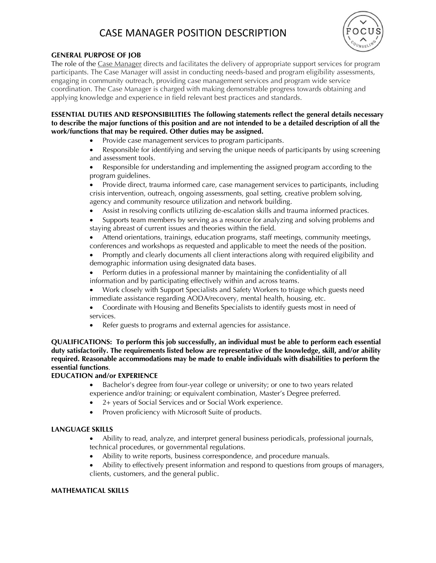# CASE MANAGER POSITION DESCRIPTION



### **GENERAL PURPOSE OF JOB**

The role of the Case Manager directs and facilitates the delivery of appropriate support services for program participants. The Case Manager will assist in conducting needs-based and program eligibility assessments, engaging in community outreach, providing case management services and program wide service coordination. The Case Manager is charged with making demonstrable progress towards obtaining and applying knowledge and experience in field relevant best practices and standards.

**ESSENTIAL DUTIES AND RESPONSIBILITIES The following statements reflect the general details necessary to describe the major functions of this position and are not intended to be a detailed description of all the work/functions that may be required. Other duties may be assigned.**

• Provide case management services to program participants.

• Responsible for identifying and serving the unique needs of participants by using screening and assessment tools.

• Responsible for understanding and implementing the assigned program according to the program guidelines.

• Provide direct, trauma informed care, case management services to participants, including crisis intervention, outreach, ongoing assessments, goal setting, creative problem solving, agency and community resource utilization and network building.

• Assist in resolving conflicts utilizing de-escalation skills and trauma informed practices.

• Supports team members by serving as a resource for analyzing and solving problems and staying abreast of current issues and theories within the field.

• Attend orientations, trainings, education programs, staff meetings, community meetings, conferences and workshops as requested and applicable to meet the needs of the position.

• Promptly and clearly documents all client interactions along with required eligibility and demographic information using designated data bases.

• Perform duties in a professional manner by maintaining the confidentiality of all information and by participating effectively within and across teams.

• Work closely with Support Specialists and Safety Workers to triage which guests need immediate assistance regarding AODA/recovery, mental health, housing, etc.

• Coordinate with Housing and Benefits Specialists to identify guests most in need of services.

• Refer guests to programs and external agencies for assistance.

**QUALIFICATIONS: To perform this job successfully, an individual must be able to perform each essential duty satisfactorily. The requirements listed below are representative of the knowledge, skill, and/or ability required. Reasonable accommodations may be made to enable individuals with disabilities to perform the essential functions**.

## **EDUCATION and/or EXPERIENCE**

• Bachelor's degree from four-year college or university; or one to two years related experience and/or training; or equivalent combination, Master's Degree preferred.

- 2+ years of Social Services and or Social Work experience.
- Proven proficiency with Microsoft Suite of products.

#### **LANGUAGE SKILLS**

• Ability to read, analyze, and interpret general business periodicals, professional journals, technical procedures, or governmental regulations.

• Ability to write reports, business correspondence, and procedure manuals.

• Ability to effectively present information and respond to questions from groups of managers, clients, customers, and the general public.

#### **MATHEMATICAL SKILLS**